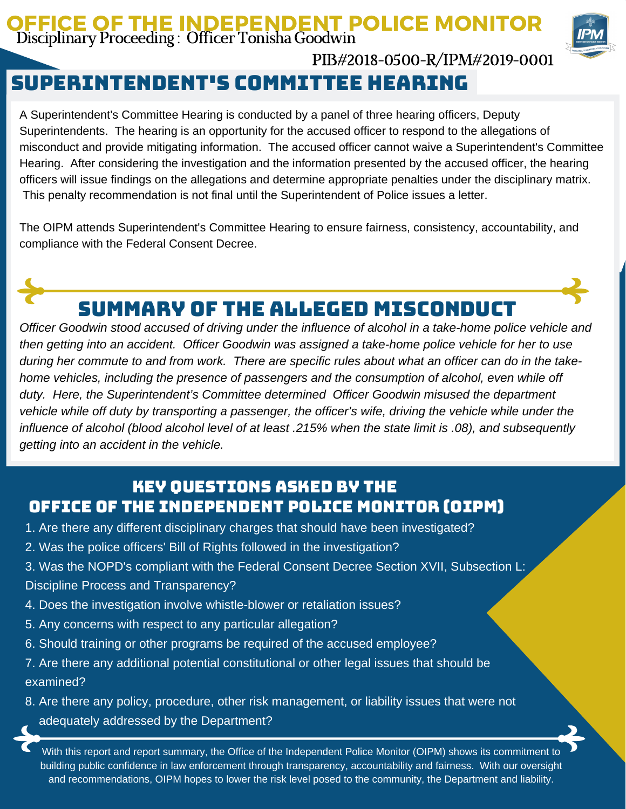#### OFFICE OF THE INDEPENDENT POLICE MONITOR Disciplinary Proceeding : Officer Tonisha Goodwin



PIB#2018-0500-R/IPM#2019-0001

## Superintendent's committee hearing

A Superintendent's Committee Hearing is conducted by a panel of three hearing officers, Deputy Superintendents. The hearing is an opportunity for the accused officer to respond to the allegations of misconduct and provide mitigating information. The accused officer cannot waive a Superintendent's Committee Hearing. After considering the investigation and the information presented by the accused officer, the hearing officers will issue findings on the allegations and determine appropriate penalties under the disciplinary matrix. This penalty recommendation is not final until the Superintendent of Police issues a letter.

The OIPM attends Superintendent's Committee Hearing to ensure fairness, consistency, accountability, and compliance with the Federal Consent Decree.



# Summary of the Alleged Misconduct

*Officer Goodwin stood accused of driving under the influence of alcohol in a take-home police vehicle and then getting into an accident. Officer Goodwin was assigned a take-home police vehicle for her to use* during her commute to and from work. There are specific rules about what an officer can do in the take*home vehicles, including the presence of passengers and the consumption of alcohol, even while off duty. Here, the Superintendent's Committee determined Officer Goodwin misused the department* vehicle while off duty by transporting a passenger, the officer's wife, driving the vehicle while under the influence of alcohol (blood alcohol level of at least .215% when the state limit is .08), and subsequently *getting into an accident in the vehicle.*

### Key Questions Asked by the Office of the Independent Police Monitor (OIPM)

- 1. Are there any different disciplinary charges that should have been investigated?
- 2. Was the police officers' Bill of Rights followed in the investigation?
- 3. Was the NOPD's compliant with the Federal Consent Decree Section XVII, Subsection L: Discipline Process and Transparency?
- 4. Does the investigation involve whistle-blower or retaliation issues?
- 5. Any concerns with respect to any particular allegation?
- 6. Should training or other programs be required of the accused employee?
- 7. Are there any additional potential constitutional or other legal issues that should be examined?
- 8. Are there any policy, procedure, other risk management, or liability issues that were not adequately addressed by the Department?

With this report and report summary, the Office of the Independent Police Monitor (OIPM) shows its commitment to building public confidence in law enforcement through transparency, accountability and fairness. With our oversight and recommendations, OIPM hopes to lower the risk level posed to the community, the Department and liability.